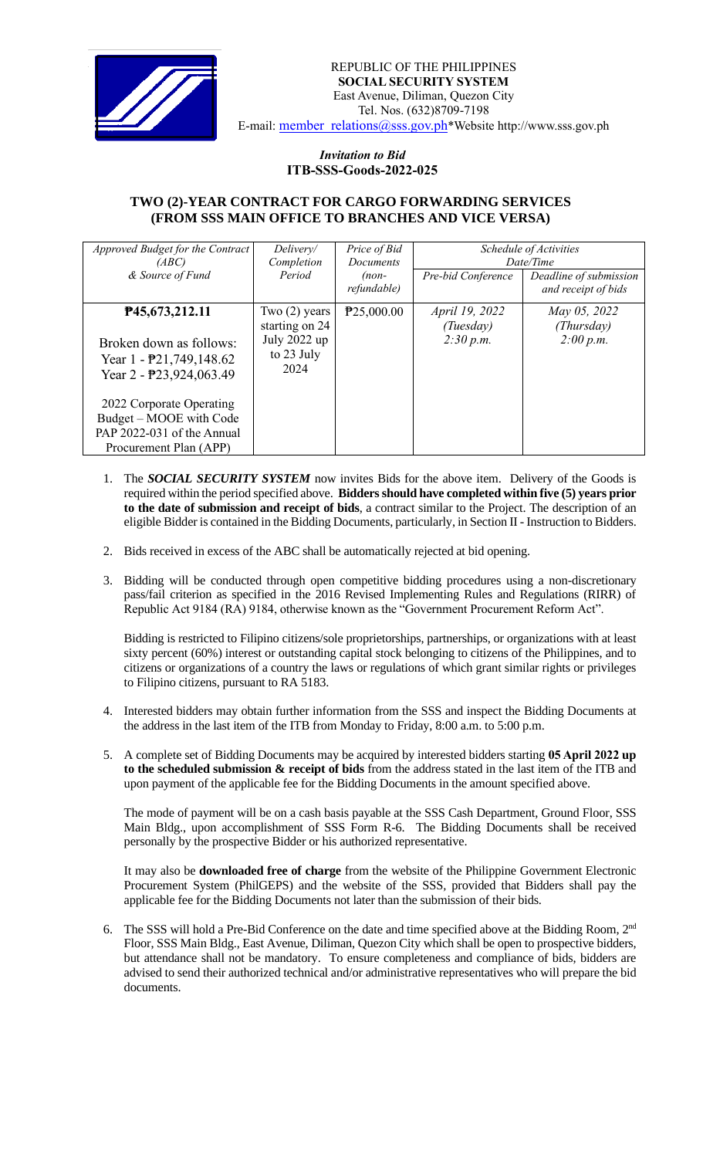

## *Invitation to Bid*  **ITB-SSS-Goods-2022-025**

## **TWO (2)-YEAR CONTRACT FOR CARGO FORWARDING SERVICES (FROM SSS MAIN OFFICE TO BRANCHES AND VICE VERSA)**

| Approved Budget for the Contract                                                           | Delivery/                          | Price of Bid            | <i>Schedule of Activities</i><br>Date/Time |                        |
|--------------------------------------------------------------------------------------------|------------------------------------|-------------------------|--------------------------------------------|------------------------|
| (ABC)                                                                                      | Completion                         | <i>Documents</i>        |                                            |                        |
| & Source of Fund                                                                           | Period                             | $(non-$                 | Pre-bid Conference                         | Deadline of submission |
|                                                                                            |                                    | refundable)             |                                            | and receipt of bids    |
| P45,673,212.11                                                                             | Two $(2)$ years                    | P <sub>25</sub> ,000.00 | <i>April 19, 2022</i>                      | May 05, 2022           |
|                                                                                            | starting on 24                     |                         | (Tuesday)                                  | (Thursday)             |
| Broken down as follows:<br>Year $1 - \frac{1}{2}$ , 749, 148.62<br>Year 2 - P23,924,063.49 | July 2022 up<br>to 23 July<br>2024 |                         | 2:30 p.m.                                  | 2:00 p.m.              |
| 2022 Corporate Operating<br>Budget – MOOE with Code                                        |                                    |                         |                                            |                        |
| PAP 2022-031 of the Annual                                                                 |                                    |                         |                                            |                        |
| Procurement Plan (APP)                                                                     |                                    |                         |                                            |                        |

- 1. The *SOCIAL SECURITY SYSTEM* now invites Bids for the above item. Delivery of the Goods is required within the period specified above. **Bidders should have completed within five (5) years prior to the date of submission and receipt of bids**, a contract similar to the Project. The description of an eligible Bidder is contained in the Bidding Documents, particularly, in Section II - Instruction to Bidders.
- 2. Bids received in excess of the ABC shall be automatically rejected at bid opening.
- 3. Bidding will be conducted through open competitive bidding procedures using a non-discretionary pass/fail criterion as specified in the 2016 Revised Implementing Rules and Regulations (RIRR) of Republic Act 9184 (RA) 9184, otherwise known as the "Government Procurement Reform Act".

Bidding is restricted to Filipino citizens/sole proprietorships, partnerships, or organizations with at least sixty percent (60%) interest or outstanding capital stock belonging to citizens of the Philippines, and to citizens or organizations of a country the laws or regulations of which grant similar rights or privileges to Filipino citizens, pursuant to RA 5183.

- 4. Interested bidders may obtain further information from the SSS and inspect the Bidding Documents at the address in the last item of the ITB from Monday to Friday, 8:00 a.m. to 5:00 p.m.
- 5. A complete set of Bidding Documents may be acquired by interested bidders starting **05 April 2022 up to the scheduled submission & receipt of bids** from the address stated in the last item of the ITB and upon payment of the applicable fee for the Bidding Documents in the amount specified above.

The mode of payment will be on a cash basis payable at the SSS Cash Department, Ground Floor, SSS Main Bldg., upon accomplishment of SSS Form R-6. The Bidding Documents shall be received personally by the prospective Bidder or his authorized representative.

It may also be **downloaded free of charge** from the website of the Philippine Government Electronic Procurement System (PhilGEPS) and the website of the SSS*,* provided that Bidders shall pay the applicable fee for the Bidding Documents not later than the submission of their bids.

6. The SSS will hold a Pre-Bid Conference on the date and time specified above at the Bidding Room, 2<sup>nd</sup> Floor, SSS Main Bldg., East Avenue, Diliman, Quezon City which shall be open to prospective bidders, but attendance shall not be mandatory. To ensure completeness and compliance of bids, bidders are advised to send their authorized technical and/or administrative representatives who will prepare the bid documents.